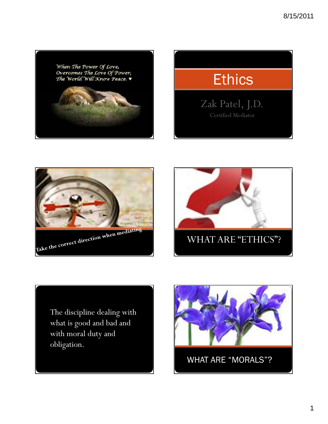

# **Ethics**

Zak Patel, J.D. Certified Mediator





The discipline dealing with what is good and bad and with moral duty and obligation.



WHAT ARE "MORALS"?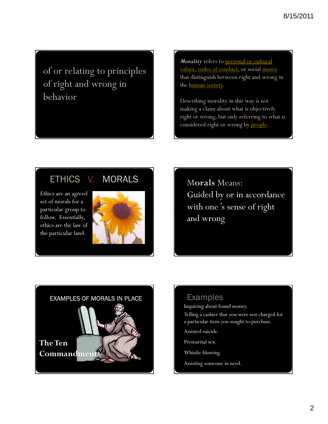of or relating to principles of right and wrong in behavior

*Morality* refers to personal or cultural values, codes of conduct, or social mores that distinguish between right and wrong in the **human** society.

Describing morality in this way is not making a claim about what is objectively right or wrong, but only referring to what is considered right or wrong by people.

# ETHICS V. MORALS

Ethics are an agreed set of morals for a particular group to follow. Essentially, ethics are the law of the particular land.



M**orals** Means: Guided by or in accordance with one*'*s sense of right and wrong



# Examples

Inquiring about found money. Telling a cashier that you were not charged for

a particular item you sought to purchase.

Assisted suicide.

Premarital sex.

Whistle-blowing.

Assisting someone in need.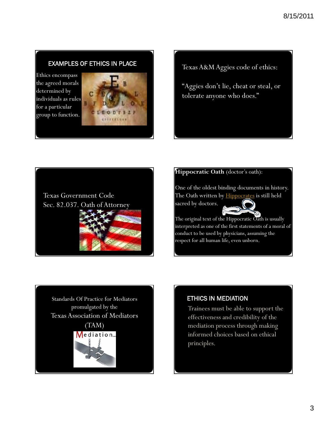# EXAMPLES OF ETHICS IN PLACE

Ethics encompass the agreed morals determined by individuals as rules for a particular group to function.



Texas A&M Aggies code of ethics:

"Aggies don't lie, cheat or steal, or tolerate anyone who does."



#### **Hippocratic Oath** (doctor's oath):

One of the oldest binding documents in history. The Oath written by **Hippocrates** is still held sacred by doctors.



The original text of the Hippocratic Oath is usually interpreted as one of the first statements of a moral of conduct to be used by physicians, assuming the respect for all human life, even unborn.

Standards Of Practice for Mediators promulgated by the Texas Association of Mediators (TAM) Mediation...

# ETHICS IN MEDIATION

Trainees must be able to support the effectiveness and credibility of the mediation process through making informed choices based on ethical principles.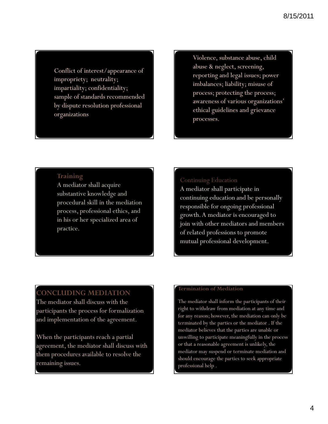Conflict of interest/appearance of impropriety; neutrality; impartiality; confidentiality; sample of standards recommended by dispute resolution professional organizations

Violence, substance abuse, child abuse & neglect, screening, reporting and legal issues; power imbalances; liability; misuse of process; protecting the process; awareness of various organizations' ethical guidelines and grievance processes.

# **Training**

A mediator shall acquire substantive knowledge and procedural skill in the mediation process, professional ethics, and in his or her specialized area of practice.

# Continuing Education

A mediator shall participate in continuing education and be personally responsible for ongoing professional growth. A mediator is encouraged to join with other mediators and members of related professions to promote mutual professional development.

# **CONCLUDING MEDIATION**

The mediator shall discuss with the participants the process for formalization and implementation of the agreement.

When the participants reach a partial agreement, the mediator shall discuss with them procedures available to resolve the remaining issues.

#### **Termination of Mediation**

The mediator shall inform the participants of their right to withdraw from mediation at any time and for any reason; however, the mediation can only be terminated by the parties or the mediator . If the mediator believes that the parties are unable or unwilling to participate meaningfully in the process or that a reasonable agreement is unlikely, the mediator may suspend or terminate mediation and should encourage the parties to seek appropriate professional help .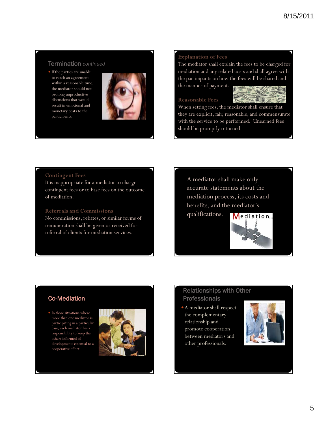### Termination *continued*

 If the parties are unable to reach an agreement within a reasonable time, the mediator should not prolong unproductive discussions that would result in emotional and monetary costs to the participants.



#### **Explanation of Fees**

The mediator shall explain the fees to be charged for mediation and any related costs and shall agree with the participants on how the fees will be shared and the manner of payment.

#### **Reasonable Fees**



When setting fees, the mediator shall ensure that they are explicit, fair, reasonable, and commensurate with the service to be performed. Unearned fees should be promptly returned.

#### **Contingent Fees**

It is inappropriate for a mediator to charge contingent fees or to base fees on the outcome of mediation.

#### **Referrals and Commissions**

No commissions, rebates, or similar forms of remuneration shall be given or received for referral of clients for mediation services.

A mediator shall make only accurate statements about the mediation process, its costs and benefits, and the mediator's qualifications. Mediation...

### Co-Mediation

 $\bullet$  In those situations where more than one mediator is participating in a particular case, each mediator has a responsibility to keep the others informed of developments essential to a cooperative effort.



# Relationships with Other Professionals

A mediator shall respect the complementary relationship and promote cooperation between mediators and other professionals.

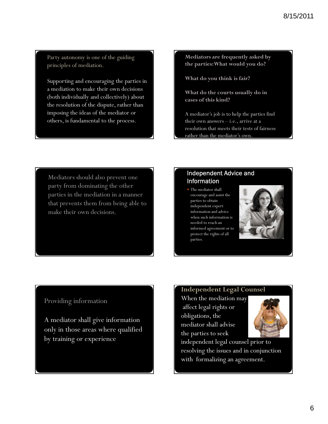Party autonomy is one of the guiding principles of mediation.

Supporting and encouraging the parties in a mediation to make their own decisions (both individually and collectively) about the resolution of the dispute, rather than imposing the ideas of the mediator or others, is fundamental to the process.

**Mediators are frequently asked by the parties: What would you do?** 

**What do you think is fair?**

**What do the courts usually do in cases of this kind?**

A mediator's job is to help the parties find their own answers – i.e., arrive at a resolution that meets their tests of fairness rather than the mediator's own.

Mediators should also prevent one party from dominating the other parties in the mediation in a manner that prevents them from being able to make their own decisions.

# Independent Advice and Information

• The mediator shall encourage and assist the parties to obtain independent expert information and advice when such information is needed to reach an informed agreement or to protect the rights of all parties.



# Providing information

A mediator shall give information only in those areas where qualified by training or experience.

# **Independent Legal Counsel**

When the mediation may affect legal rights or obligations, the mediator shall advise the parties to seek



independent legal counsel prior to resolving the issues and in conjunction with formalizing an agreement.